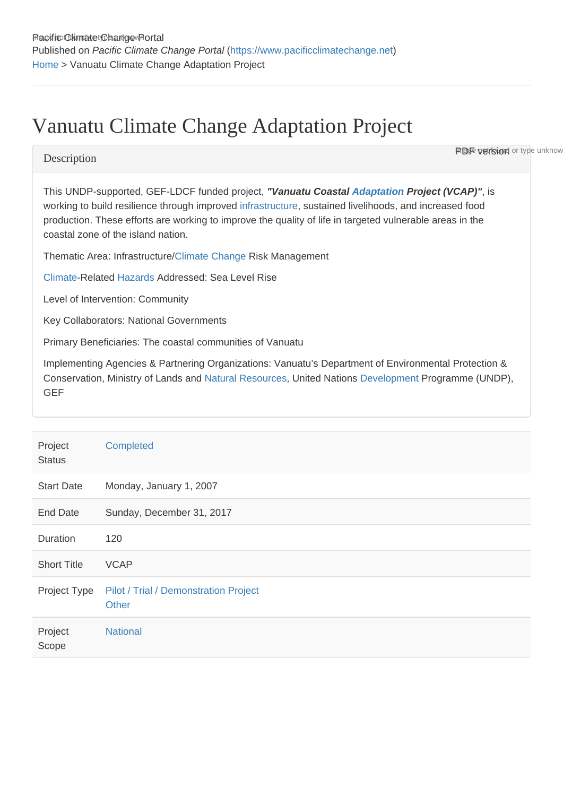# Vanuatu Climate Change Adaptation Project

### **Description**

**PDF version** or type unknow

This UNDP-supported, GEF-LDCF funded project, "Vanuatu Coastal [Adaptation](https://www.pacificclimatechange.net/glossary/letter_a#Adaptation) Project (VCAP) ", is working to build resilience through improved [infrastructure](https://www.pacificclimatechange.net/glossary/letter_i#Infrastructure), sustained livelihoods, and increased food production. These efforts are working to improve the quality of life in targeted vulnerable areas in the coastal zone of the island nation.

Thematic Area: Infrastructure/[Climate Change](https://www.pacificclimatechange.net/glossary/letter_c#Climate_Change) Risk Management

[Climate-](https://www.pacificclimatechange.net/glossary/letter_c#Climate)Related [Hazards](https://www.pacificclimatechange.net/glossary/letter_h#Hazards) Addressed: Sea Level Rise

Level of Intervention: Community

Key Collaborators: National Governments

Primary Beneficiaries: The coastal communities of Vanuatu

Implementing Agencies & Partnering Organizations: Vanuatu's Department of Environmental Protection & Conservation, Ministry of Lands and [Natural Resources](https://www.pacificclimatechange.net/glossary/letter_n#Natural_resources), United Nations [Development](https://www.pacificclimatechange.net/glossary/letter_d#Development) Programme (UNDP), GEF

| Project<br><b>Status</b> | Completed                                      |
|--------------------------|------------------------------------------------|
| <b>Start Date</b>        | Monday, January 1, 2007                        |
| <b>End Date</b>          | Sunday, December 31, 2017                      |
| Duration                 | 120                                            |
| <b>Short Title</b>       | <b>VCAP</b>                                    |
| Project Type             | Pilot / Trial / Demonstration Project<br>Other |
| Project<br>Scope         | <b>National</b>                                |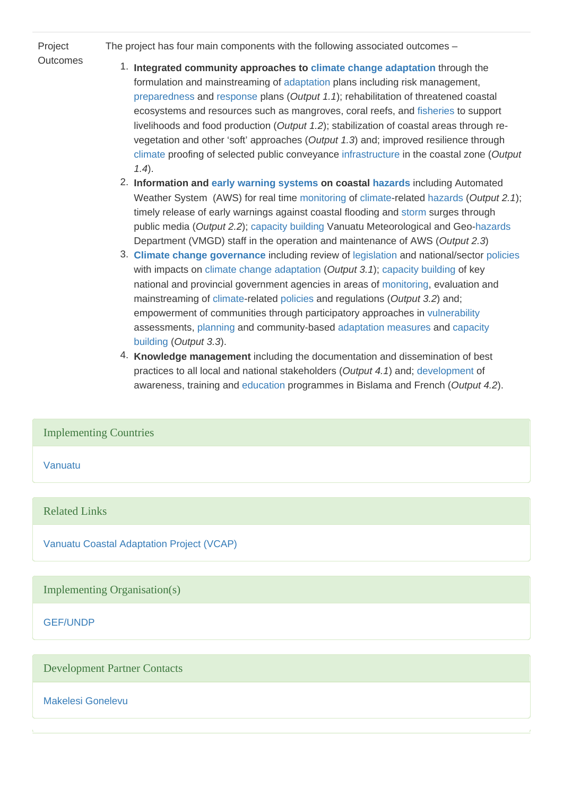#### Project **Outcomes**

The project has four main components with the following associated outcomes –

- 1. Integrated community approaches to [climate change](https://www.pacificclimatechange.net/glossary/letter_c#Climate_Change) [adaptation](https://www.pacificclimatechange.net/glossary/letter_a#Adaptation) through the formulation and mainstreaming of [adaptation](https://www.pacificclimatechange.net/glossary/letter_a#Adaptation) plans including risk management, [preparedness](https://www.pacificclimatechange.net/glossary/letter_p#Preparedness) and [response](https://www.pacificclimatechange.net/glossary/letter_r#Response) plans (Output 1.1); rehabilitation of threatened coastal ecosystems and resources such as mangroves, coral reefs, and [fisheries](https://www.pacificclimatechange.net/glossary/letter_f#Fisheries) to support livelihoods and food production (Output 1.2); stabilization of coastal areas through revegetation and other 'soft' approaches (Output 1.3) and; improved resilience through [climate](https://www.pacificclimatechange.net/glossary/letter_c#Climate) proofing of selected public conveyance [infrastructure](https://www.pacificclimatechange.net/glossary/letter_i#Infrastructure) in the coastal zone (Output 1.4).
	- 2. Information and [early warning systems](https://www.pacificclimatechange.net/glossary/letter_e#Early_Warning_Systems) on coastal [hazards](https://www.pacificclimatechange.net/glossary/letter_h#Hazards) including Automated Weather System (AWS) for real time [monitoring](https://www.pacificclimatechange.net/glossary/letter_m#Monitoring) of [climate](https://www.pacificclimatechange.net/glossary/letter_c#Climate)-related [hazards](https://www.pacificclimatechange.net/glossary/letter_h#Hazards) (Output 2.1); timely release of early warnings against coastal flooding and [storm](https://www.pacificclimatechange.net/glossary/letter_s#Storm) surges through public media (Output 2.2); [capacity building](https://www.pacificclimatechange.net/glossary/letter_c#Capacity_building) Vanuatu Meteorological and Geo-[hazards](https://www.pacificclimatechange.net/glossary/letter_h#Hazards) Department (VMGD) staff in the operation and maintenance of AWS (Output 2.3)
	- 3. [Climate change](https://www.pacificclimatechange.net/glossary/letter_c#Climate_Change) [governance](https://www.pacificclimatechange.net/glossary/letter_g#Governance) including review of [legislation](https://www.pacificclimatechange.net/glossary/letter_l#Legislation) and national/sector [policies](https://www.pacificclimatechange.net/glossary/letter_p#Policies) with impacts on [climate change](https://www.pacificclimatechange.net/glossary/letter_c#Climate_Change) [adaptation](https://www.pacificclimatechange.net/glossary/letter_a#Adaptation) (Output 3.1); [capacity building](https://www.pacificclimatechange.net/glossary/letter_c#Capacity_building) of key national and provincial government agencies in areas of [monitoring](https://www.pacificclimatechange.net/glossary/letter_m#Monitoring), evaluation and mainstreaming of [climate](https://www.pacificclimatechange.net/glossary/letter_c#Climate)-related [policies](https://www.pacificclimatechange.net/glossary/letter_p#Policies) and regulations (Output 3.2) and; empowerment of communities through participatory approaches in [vulnerability](https://www.pacificclimatechange.net/glossary/letter_v#Vulnerability) assessments, [planning](https://www.pacificclimatechange.net/glossary/letter_p#Planning) and community-based [adaptation](https://www.pacificclimatechange.net/glossary/letter_a#Adaptation) [measures](https://www.pacificclimatechange.net/glossary/letter_m#Measures) and [capacity](https://www.pacificclimatechange.net/glossary/letter_c#Capacity_building)  [building](https://www.pacificclimatechange.net/glossary/letter_c#Capacity_building) (Output 3.3).
	- 4. Knowledge management including the documentation and dissemination of best practices to all local and national stakeholders (Output 4.1) and; [development](https://www.pacificclimatechange.net/glossary/letter_d#Development) of awareness, training and [education](https://www.pacificclimatechange.net/glossary/letter_e#Education) programmes in Bislama and French (Output 4.2).

## Implementing Countries

[Vanuatu](https://www.pacificclimatechange.net/node/63)

#### Related Links

[Vanuatu Coastal Adaptation Project \(VCAP\)](http://www.adaptation-undp.org/projects/ldcf-vanuatu)

Implementing Organisation(s)

[GEF/UNDP](https://www.pacificclimatechange.net/node/9532)

#### Development Partner Contacts

[Makelesi Gonelevu](https://www.pacificclimatechange.net/node/9510)